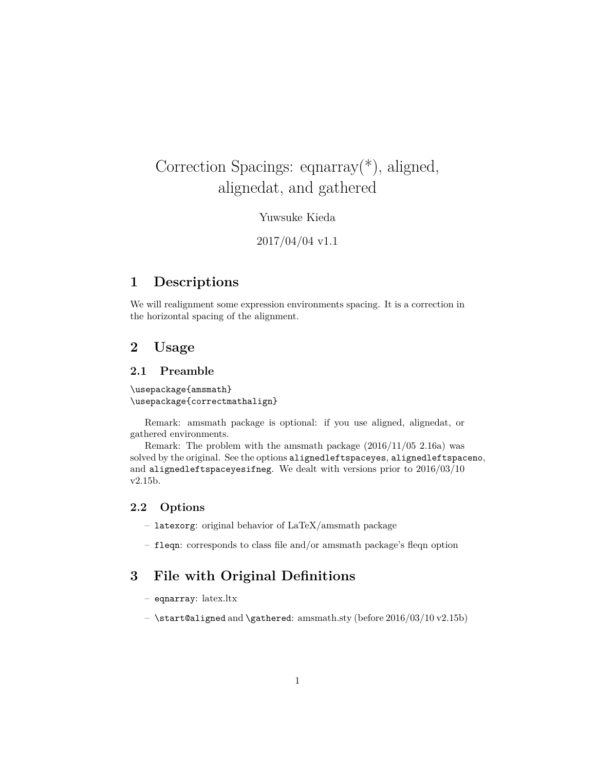# Correction Spacings: eqnarray(\*), aligned, alignedat, and gathered

Yuwsuke Kieda

2017/04/04 v1.1

# **1 Descriptions**

We will realignment some expression environments spacing. It is a correction in the horizontal spacing of the alignment.

# **2 Usage**

#### **2.1 Preamble**

\usepackage{amsmath} \usepackage{correctmathalign}

Remark: amsmath package is optional: if you use aligned, alignedat, or gathered environments.

Remark: The problem with the amsmath package (2016/11/05 2.16a) was solved by the original. See the options alignedleftspaceyes, alignedleftspaceno, and alignedleftspaceyesifneg. We dealt with versions prior to 2016/03/10 v2.15b.

#### **2.2 Options**

– latexorg: original behavior of LaTeX/amsmath package

– fleqn: corresponds to class file and/or amsmath package's fleqn option

# **3 File with Original Definitions**

- eqnarray: latex.ltx
- $-$  \start@aligned and \gathered: amsmath.sty (before  $2016/03/10 v2.15b$ )